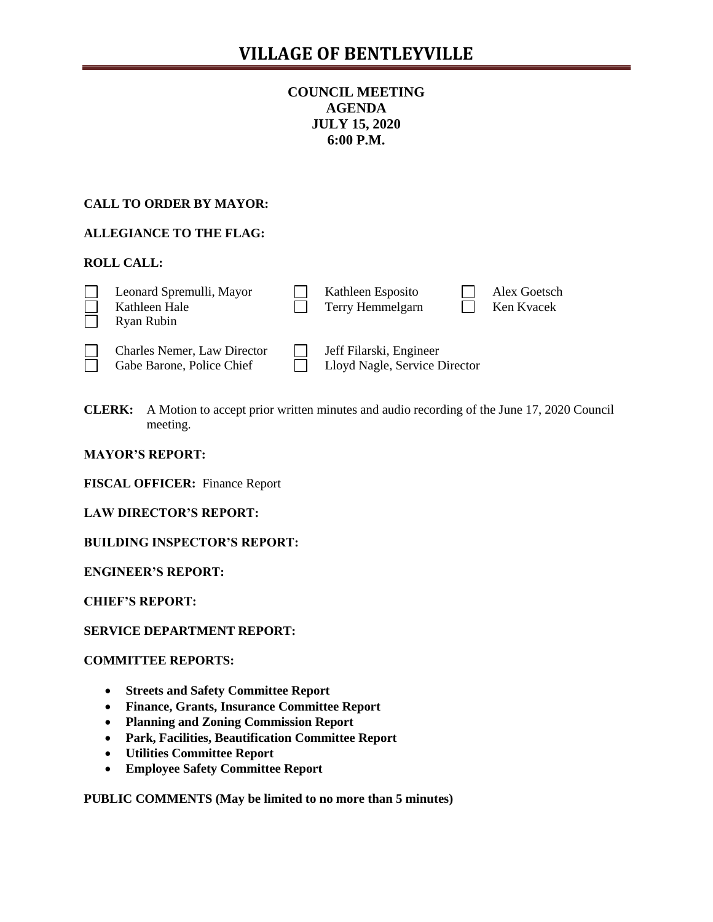# **COUNCIL MEETING AGENDA JULY 15, 2020 6:00 P.M.**

# **CALL TO ORDER BY MAYOR:**

# **ALLEGIANCE TO THE FLAG:**

### **ROLL CALL:**

|  | Leonard Spremulli, Mayor<br>Kathleen Hale<br>Ryan Rubin |  | Kathleen Esposito<br>Terry Hemmelgarn |  | Alex Goetsch<br>Ken Kvacek |
|--|---------------------------------------------------------|--|---------------------------------------|--|----------------------------|
|--|---------------------------------------------------------|--|---------------------------------------|--|----------------------------|

Charles Nemer, Law Director Jeff Filarski, Engineer

Gabe Barone, Police Chief **Lloyd Nagle, Service Director** 

**CLERK:** A Motion to accept prior written minutes and audio recording of the June 17, 2020 Council meeting.

### **MAYOR'S REPORT:**

**FISCAL OFFICER:** Finance Report

**LAW DIRECTOR'S REPORT:**

**BUILDING INSPECTOR'S REPORT:**

**ENGINEER'S REPORT:**

**CHIEF'S REPORT:**

### **SERVICE DEPARTMENT REPORT:**

### **COMMITTEE REPORTS:**

- **Streets and Safety Committee Report**
- **Finance, Grants, Insurance Committee Report**
- **Planning and Zoning Commission Report**
- **Park, Facilities, Beautification Committee Report**
- **Utilities Committee Report**
- **Employee Safety Committee Report**

**PUBLIC COMMENTS (May be limited to no more than 5 minutes)**